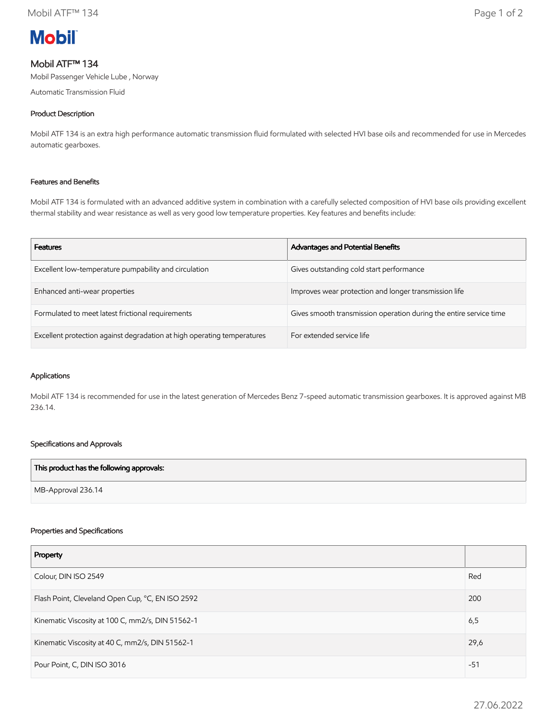

# Mobil ATF™ 134

Mobil Passenger Vehicle Lube , Norway

Automatic Transmission Fluid

## Product Description

Mobil ATF 134 is an extra high performance automatic transmission fluid formulated with selected HVI base oils and recommended for use in Mercedes automatic gearboxes.

## Features and Benefits

Mobil ATF 134 is formulated with an advanced additive system in combination with a carefully selected composition of HVI base oils providing excellent thermal stability and wear resistance as well as very good low temperature properties. Key features and benefits include:

| <b>Features</b>                                                         | Advantages and Potential Benefits                                  |
|-------------------------------------------------------------------------|--------------------------------------------------------------------|
| Excellent low-temperature pumpability and circulation                   | Gives outstanding cold start performance                           |
| Enhanced anti-wear properties                                           | Improves wear protection and longer transmission life              |
| Formulated to meet latest frictional requirements                       | Gives smooth transmission operation during the entire service time |
| Excellent protection against degradation at high operating temperatures | For extended service life                                          |

#### Applications

Mobil ATF 134 is recommended for use in the latest generation of Mercedes Benz 7-speed automatic transmission gearboxes. It is approved against MB 236.14.

## Specifications and Approvals

| This product has the following approvals: |  |
|-------------------------------------------|--|
| MB-Approval 236.14                        |  |

#### Properties and Specifications

| Property                                         |       |
|--------------------------------------------------|-------|
| Colour, DIN ISO 2549                             | Red   |
| Flash Point, Cleveland Open Cup, °C, EN ISO 2592 | 200   |
| Kinematic Viscosity at 100 C, mm2/s, DIN 51562-1 | 6,5   |
| Kinematic Viscosity at 40 C, mm2/s, DIN 51562-1  | 29,6  |
| Pour Point, C, DIN ISO 3016                      | $-51$ |